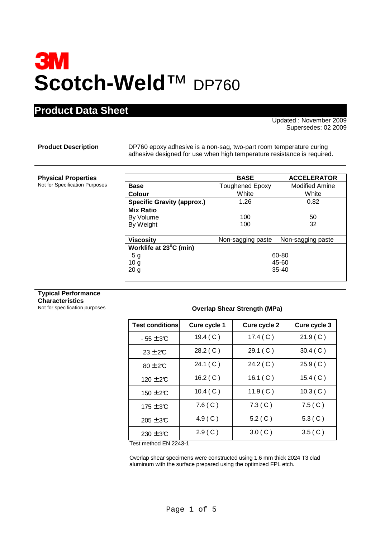# **3M Scotch-Weld**™ DP760

### **Product Data Sheet**

Updated : November 2009 Supersedes: 02 2009

**Product Description** DP760 epoxy adhesive is a non-sag, two-part room temperature curing adhesive designed for use when high temperature resistance is required.

#### **Physical Properties**

**Not for Specification Purposes** 

|                                   | <b>BASE</b>            | <b>ACCELERATOR</b>    |
|-----------------------------------|------------------------|-----------------------|
| Base                              | <b>Toughened Epoxy</b> | <b>Modified Amine</b> |
| Colour                            | White                  | White                 |
| <b>Specific Gravity (approx.)</b> | 1.26                   | 0.82                  |
| <b>Mix Ratio</b>                  |                        |                       |
| By Volume                         | 100                    | 50                    |
| By Weight                         | 100                    | 32                    |
|                                   |                        |                       |
| <b>Viscosity</b>                  | Non-sagging paste      | Non-sagging paste     |
| Worklife at 23°C (min)            |                        |                       |
| 5 g                               | 60-80                  |                       |
| 10 <sub>g</sub>                   | 45-60                  |                       |
| 20 <sub>g</sub>                   | $35 - 40$              |                       |
|                                   |                        |                       |

### **Typical Performance Characteristics**<br>Not for specification purposes

#### **Overlap Shear Strength (MPa)**

| <b>Test conditions</b> | Cure cycle 1 | Cure cycle 2 | Cure cycle 3 |
|------------------------|--------------|--------------|--------------|
| $-55 \pm 3C$           | 19.4 $(C)$   | 17.4 $(C)$   | 21.9(C)      |
| $23 \pm 2C$            | 28.2 (C)     | 29.1 (C)     | 30.4 (C)     |
| $80 \pm 2$ °C          | 24.1 (C)     | 24.2 (C)     | 25.9(C)      |
| $120 \pm 2C$           | 16.2 ( $C$ ) | 16.1 $(C)$   | 15.4 (C)     |
| $150 \pm 2C$           | 10.4 (C)     | 11.9(C)      | 10.3 (C)     |
| $175 \pm 3$ °C         | 7.6(C)       | 7.3(C)       | 7.5(C)       |
| $205 \pm 3$ °C         | 4.9(C)       | 5.2(C)       | 5.3(C)       |
| $230 \pm 3C$           | 2.9(C)       | 3.0(C)       | 3.5(C)       |

Test method EN 2243-1

Overlap shear specimens were constructed using 1.6 mm thick 2024 T3 clad aluminum with the surface prepared using the optimized FPL etch.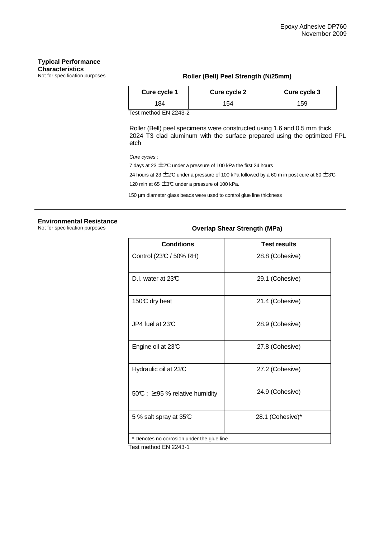### **Typical Performance Characteristics**<br>Not for specification purposes

### Roller (Bell) Peel Strength (N/25mm)

| Cure cycle 1 | Cure cycle 2 | Cure cycle 3 |
|--------------|--------------|--------------|
| 184          | 54           | 159          |

Test method EN 2243-2

 Roller (Bell) peel specimens were constructed using 1.6 and 0.5 mm thick 2024 T3 clad aluminum with the surface prepared using the optimized FPL etch

Cure cycles :

7 days at 23  $\pm$  2°C under a pressure of 100 kPa the first 24 hours

24 hours at 23  $\pm$  2°C under a pressure of 100 kPa followed by a 60 m in post cure at 80  $\pm$  3°C

120 min at  $65 \pm 3$ °C under a pressure of 100 kPa.

150 µm diameter glass beads were used to control glue line thickness

## **Environmental Resistance**

### **Overlap Shear Strength (MPa)**

| <b>Conditions</b>                          | <b>Test results</b> |
|--------------------------------------------|---------------------|
| Control (23°C / 50% RH)                    | 28.8 (Cohesive)     |
| D.I. water at 23C                          | 29.1 (Cohesive)     |
| 150℃ dry heat                              | 21.4 (Cohesive)     |
| JP4 fuel at $23C$                          | 28.9 (Cohesive)     |
| Engine oil at 23°C                         | 27.8 (Cohesive)     |
| Hydraulic oil at $23C$                     | 27.2 (Cohesive)     |
| 50°C; $\geq$ 95% relative humidity         | 24.9 (Cohesive)     |
| 5 % salt spray at 35°C                     | 28.1 (Cohesive)*    |
| * Denotes no corrosion under the glue line |                     |

Test method EN 2243-1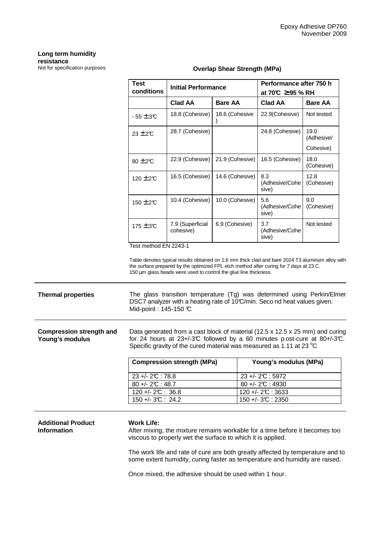### **Long term humidity resistance**<br>Not for specification purposes

| Test<br>conditions                                           | <b>Initial Performance</b>    |                 | Performance after 750 h<br>at 70°C $\geq$ 95 % RH |                    |
|--------------------------------------------------------------|-------------------------------|-----------------|---------------------------------------------------|--------------------|
|                                                              | <b>Clad AA</b>                | <b>Bare AA</b>  | Clad AA                                           | <b>Bare AA</b>     |
| $-55 \pm 3C$                                                 | 18.8 (Cohesive)               | 18.6 (Cohesive  | 22.9(Cohesive)                                    | Not tested         |
| $23 \pm 20$                                                  | 28.7 (Cohesive)               |                 | 24.8 (Cohesive)                                   | 19.0<br>(Adhesive/ |
|                                                              |                               |                 |                                                   | Cohesive)          |
| $80 \pm 2C$                                                  | 22.9 (Cohesive)               | 21.9 (Cohesive) | 16.5 (Cohesive)                                   | 18.0<br>(Cohesive) |
| 120 $\pm$ 2C                                                 | 16.5 (Cohesive)               | 14.6 (Cohesive) | 8.3<br>(Adhesive/Cohe<br>sive)                    | 12.8<br>(Cohesive) |
| 150 $\pm$ 2C                                                 | 10.4 (Cohesive)               | 10.0 (Cohesive) | 5.6<br>(Adhesive/Cohe<br>sive)                    | 9.0<br>(Cohesive)  |
| $175 \pm 3$ °C<br>$\tau$ $\theta$ $\theta$ $\theta$ $\theta$ | 7.9 (Superficial<br>cohesive) | 6.9 (Cohesive)  | 3.7<br>(Adhesive/Cohe<br>sive)                    | Not tested         |

#### **Overlap Shear Strength (MPa)**

Table denotes typical results obtained on 1.6 mm thick clad and bare 2024 T3 aluminum alloy with the surface prepared by the optimized FPL etch method after curing for 7 days at 23 C. 150 µm glass beads were used to control the glue line thickness.

### **Thermal properties** The glass transition temperature (Tg) was determined using Perkin/Elmer DSC7 analyzer with a heating rate of 10°C/min. Seco nd heat values given. Mid-point : 145-150 °C

| Compression strength and | Data generated from a cast block of material (12.5 x 12.5 x 25 mm) and curing |  |
|--------------------------|-------------------------------------------------------------------------------|--|
| Young's modulus          | for 24 hours at $23+/3C$ followed by a 60 minutes post-cure at $80+/3C$ .     |  |
|                          | Specific gravity of the cured material was measured as 1.11 at 23 $\degree$ C |  |

| <b>Compression strength (MPa)</b> | Young's modulus (MPa) |
|-----------------------------------|-----------------------|
| $23 + - 2C$ : 78.8                | $23 + 2C : 5972$      |
| $80 + -2C : 48.7$                 | $80 + -2C : 4930$     |
| $120 + 2C : 36.8$                 | $120 + 2C : 3633$     |
| $150 + -3C$ : 24.2                | $150 + - 3C : 2350$   |

### **Additional Product Information**

### **Work Life:**

After mixing, the mixture remains workable for a time before it becomes too viscous to properly wet the surface to which it is applied.

The work life and rate of cure are both greatly affected by temperature and to some extent humidity, curing faster as temperature and humidity are raised.

Once mixed, the adhesive should be used within 1 hour.

Test method EN 2243-1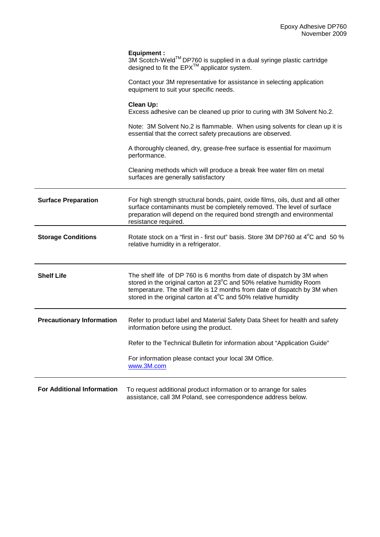|                                   | <b>Equipment:</b><br>3M Scotch-Weld™ DP760 is supplied in a dual syringe plastic cartridge<br>designed to fit the EPX <sup>™</sup> applicator system.                                                                                                                                                  |
|-----------------------------------|--------------------------------------------------------------------------------------------------------------------------------------------------------------------------------------------------------------------------------------------------------------------------------------------------------|
|                                   | Contact your 3M representative for assistance in selecting application<br>equipment to suit your specific needs.                                                                                                                                                                                       |
|                                   | <b>Clean Up:</b><br>Excess adhesive can be cleaned up prior to curing with 3M Solvent No.2.                                                                                                                                                                                                            |
|                                   | Note: 3M Solvent No.2 is flammable. When using solvents for clean up it is<br>essential that the correct safety precautions are observed.                                                                                                                                                              |
|                                   | A thoroughly cleaned, dry, grease-free surface is essential for maximum<br>performance.                                                                                                                                                                                                                |
|                                   | Cleaning methods which will produce a break free water film on metal<br>surfaces are generally satisfactory                                                                                                                                                                                            |
| <b>Surface Preparation</b>        | For high strength structural bonds, paint, oxide films, oils, dust and all other<br>surface contaminants must be completely removed. The level of surface<br>preparation will depend on the required bond strength and environmental<br>resistance required.                                           |
| <b>Storage Conditions</b>         | Rotate stock on a "first in - first out" basis. Store 3M DP760 at 4°C and 50 %<br>relative humidity in a refrigerator.                                                                                                                                                                                 |
| <b>Shelf Life</b>                 | The shelf life of DP 760 is 6 months from date of dispatch by 3M when<br>stored in the original carton at 23°C and 50% relative humidity Room<br>temperature. The shelf life is 12 months from date of dispatch by 3M when<br>stored in the original carton at $4^{\circ}$ C and 50% relative humidity |
| <b>Precautionary Information</b>  | Refer to product label and Material Safety Data Sheet for health and safety<br>information before using the product.                                                                                                                                                                                   |
|                                   | Refer to the Technical Bulletin for information about "Application Guide"                                                                                                                                                                                                                              |
|                                   | For information please contact your local 3M Office.<br>www.3M.com                                                                                                                                                                                                                                     |
| <b>For Additional Information</b> | To request additional product information or to arrange for sales<br>assistance, call 3M Poland, see correspondence address below.                                                                                                                                                                     |